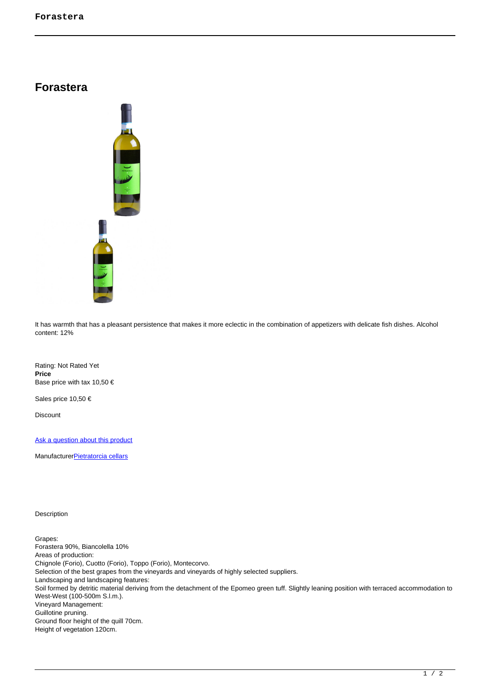## **Forastera**



It has warmth that has a pleasant persistence that makes it more eclectic in the combination of appetizers with delicate fish dishes. Alcohol content: 12%

Rating: Not Rated Yet **Price**  Base price with tax 10,50 €

Sales price 10,50 €

Discount

[Ask a question about this product](https://shop.ischia.it/index.php?option=com_virtuemart&view=productdetails&task=askquestion&virtuemart_product_id=37&virtuemart_category_id=3&tmpl=component)

Manufacturer**[Pietratorcia cellars](https://shop.ischia.it/index.php?option=com_virtuemart&view=manufacturer&virtuemart_manufacturer_id=3&tmpl=component)** 

Description

Grapes: Forastera 90%, Biancolella 10% Areas of production: Chignole (Forio), Cuotto (Forio), Toppo (Forio), Montecorvo. Selection of the best grapes from the vineyards and vineyards of highly selected suppliers. Landscaping and landscaping features: Soil formed by detritic material deriving from the detachment of the Epomeo green tuff. Slightly leaning position with terraced accommodation to West-West (100-500m S.l.m.). Vineyard Management: Guillotine pruning. Ground floor height of the quill 70cm. Height of vegetation 120cm.